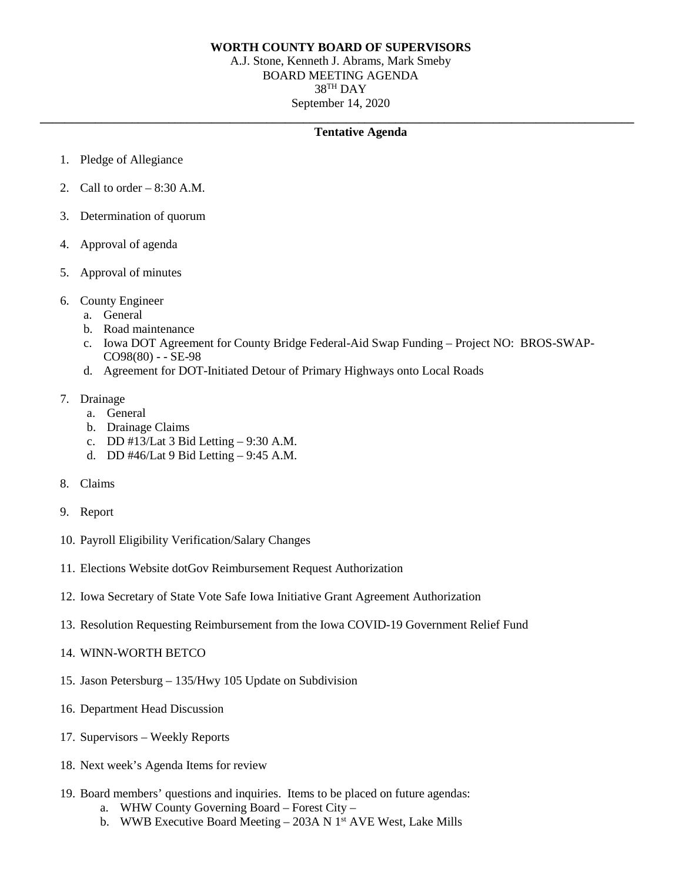## **WORTH COUNTY BOARD OF SUPERVISORS**

A.J. Stone, Kenneth J. Abrams, Mark Smeby BOARD MEETING AGENDA 38TH DAY September 14, 2020

## **\_\_\_\_\_\_\_\_\_\_\_\_\_\_\_\_\_\_\_\_\_\_\_\_\_\_\_\_\_\_\_\_\_\_\_\_\_\_\_\_\_\_\_\_\_\_\_\_\_\_\_\_\_\_\_\_\_\_\_\_\_\_\_\_\_\_\_\_\_\_\_\_\_\_\_\_\_\_\_\_\_\_\_\_\_\_\_\_\_\_\_\_\_\_\_\_\_ Tentative Agenda**

- 1. Pledge of Allegiance
- 2. Call to order  $-8:30$  A.M.
- 3. Determination of quorum
- 4. Approval of agenda
- 5. Approval of minutes
- 6. County Engineer
	- a. General
	- b. Road maintenance
	- c. Iowa DOT Agreement for County Bridge Federal-Aid Swap Funding Project NO: BROS-SWAP-CO98(80) - - SE-98
	- d. Agreement for DOT-Initiated Detour of Primary Highways onto Local Roads
- 7. Drainage
	- a. General
	- b. Drainage Claims
	- c. DD #13/Lat 3 Bid Letting 9:30 A.M.
	- d. DD #46/Lat 9 Bid Letting 9:45 A.M.
- 8. Claims
- 9. Report
- 10. Payroll Eligibility Verification/Salary Changes
- 11. Elections Website dotGov Reimbursement Request Authorization
- 12. Iowa Secretary of State Vote Safe Iowa Initiative Grant Agreement Authorization
- 13. Resolution Requesting Reimbursement from the Iowa COVID-19 Government Relief Fund
- 14. WINN-WORTH BETCO
- 15. Jason Petersburg 135/Hwy 105 Update on Subdivision
- 16. Department Head Discussion
- 17. Supervisors Weekly Reports
- 18. Next week's Agenda Items for review
- 19. Board members' questions and inquiries. Items to be placed on future agendas:
	- a. WHW County Governing Board Forest City –
	- b. WWB Executive Board Meeting  $-$  203A N 1<sup>st</sup> AVE West, Lake Mills